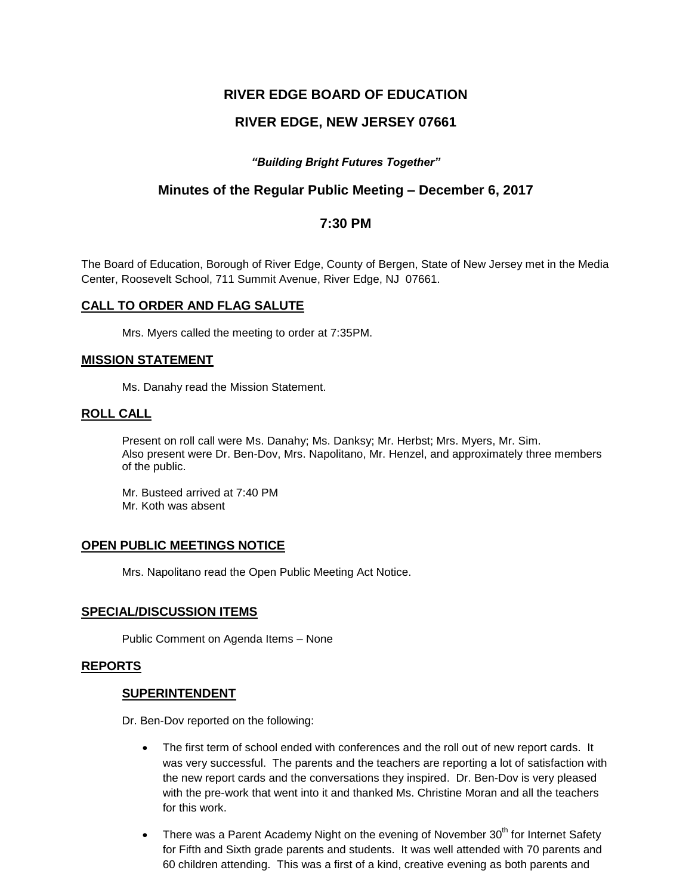# **RIVER EDGE BOARD OF EDUCATION**

# **RIVER EDGE, NEW JERSEY 07661**

# *"Building Bright Futures Together"*

# **Minutes of the Regular Public Meeting – December 6, 2017**

# **7:30 PM**

The Board of Education, Borough of River Edge, County of Bergen, State of New Jersey met in the Media Center, Roosevelt School, 711 Summit Avenue, River Edge, NJ 07661.

## **CALL TO ORDER AND FLAG SALUTE**

Mrs. Myers called the meeting to order at 7:35PM.

## **MISSION STATEMENT**

Ms. Danahy read the Mission Statement.

## **ROLL CALL**

Present on roll call were Ms. Danahy; Ms. Danksy; Mr. Herbst; Mrs. Myers, Mr. Sim. Also present were Dr. Ben-Dov, Mrs. Napolitano, Mr. Henzel, and approximately three members of the public.

Mr. Busteed arrived at 7:40 PM Mr. Koth was absent

# **OPEN PUBLIC MEETINGS NOTICE**

Mrs. Napolitano read the Open Public Meeting Act Notice.

## **SPECIAL/DISCUSSION ITEMS**

Public Comment on Agenda Items – None

## **REPORTS**

## **SUPERINTENDENT**

Dr. Ben-Dov reported on the following:

- The first term of school ended with conferences and the roll out of new report cards. It was very successful. The parents and the teachers are reporting a lot of satisfaction with the new report cards and the conversations they inspired. Dr. Ben-Dov is very pleased with the pre-work that went into it and thanked Ms. Christine Moran and all the teachers for this work.
- $\bullet$  There was a Parent Academy Night on the evening of November 30<sup>th</sup> for Internet Safety for Fifth and Sixth grade parents and students. It was well attended with 70 parents and 60 children attending. This was a first of a kind, creative evening as both parents and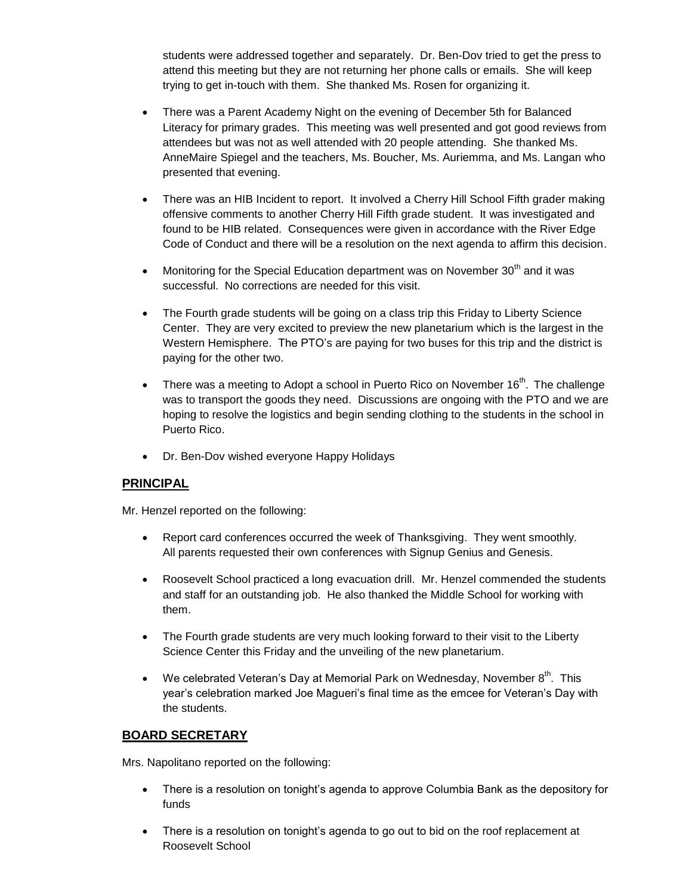students were addressed together and separately. Dr. Ben-Dov tried to get the press to attend this meeting but they are not returning her phone calls or emails. She will keep trying to get in-touch with them. She thanked Ms. Rosen for organizing it.

- There was a Parent Academy Night on the evening of December 5th for Balanced Literacy for primary grades. This meeting was well presented and got good reviews from attendees but was not as well attended with 20 people attending. She thanked Ms. AnneMaire Spiegel and the teachers, Ms. Boucher, Ms. Auriemma, and Ms. Langan who presented that evening.
- There was an HIB Incident to report. It involved a Cherry Hill School Fifth grader making offensive comments to another Cherry Hill Fifth grade student. It was investigated and found to be HIB related. Consequences were given in accordance with the River Edge Code of Conduct and there will be a resolution on the next agenda to affirm this decision.
- Monitoring for the Special Education department was on November  $30<sup>th</sup>$  and it was successful. No corrections are needed for this visit.
- The Fourth grade students will be going on a class trip this Friday to Liberty Science Center. They are very excited to preview the new planetarium which is the largest in the Western Hemisphere. The PTO's are paying for two buses for this trip and the district is paying for the other two.
- There was a meeting to Adopt a school in Puerto Rico on November  $16<sup>th</sup>$ . The challenge was to transport the goods they need. Discussions are ongoing with the PTO and we are hoping to resolve the logistics and begin sending clothing to the students in the school in Puerto Rico.
- Dr. Ben-Dov wished everyone Happy Holidays

# **PRINCIPAL**

Mr. Henzel reported on the following:

- Report card conferences occurred the week of Thanksgiving. They went smoothly. All parents requested their own conferences with Signup Genius and Genesis.
- Roosevelt School practiced a long evacuation drill. Mr. Henzel commended the students and staff for an outstanding job. He also thanked the Middle School for working with them.
- The Fourth grade students are very much looking forward to their visit to the Liberty Science Center this Friday and the unveiling of the new planetarium.
- We celebrated Veteran's Day at Memorial Park on Wednesday, November  $8^{th}$ . This year's celebration marked Joe Magueri's final time as the emcee for Veteran's Day with the students.

# **BOARD SECRETARY**

Mrs. Napolitano reported on the following:

- There is a resolution on tonight's agenda to approve Columbia Bank as the depository for funds
- There is a resolution on tonight's agenda to go out to bid on the roof replacement at Roosevelt School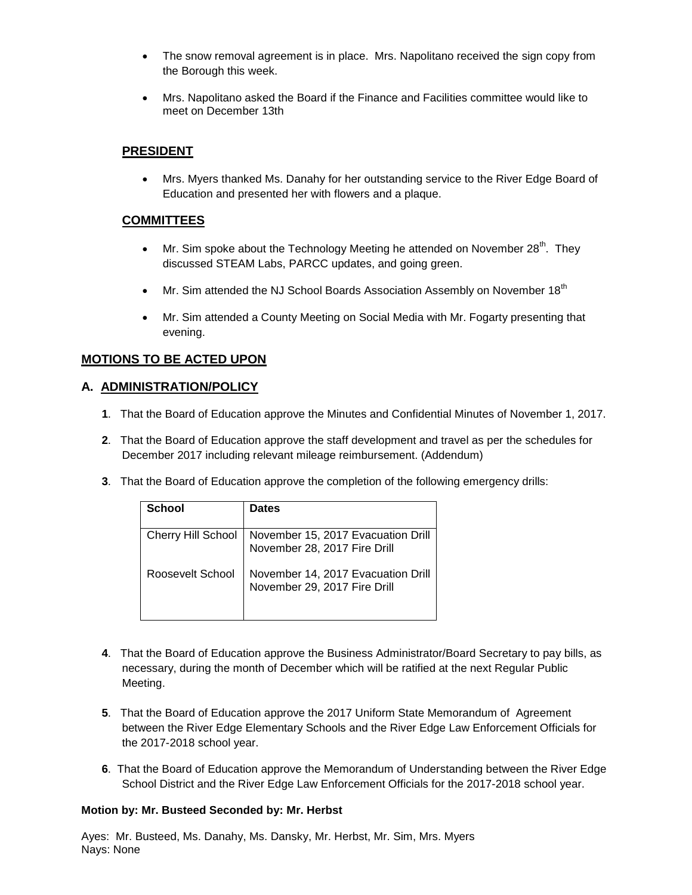- The snow removal agreement is in place. Mrs. Napolitano received the sign copy from the Borough this week.
- Mrs. Napolitano asked the Board if the Finance and Facilities committee would like to meet on December 13th

# **PRESIDENT**

 Mrs. Myers thanked Ms. Danahy for her outstanding service to the River Edge Board of Education and presented her with flowers and a plaque.

# **COMMITTEES**

- $\bullet$  Mr. Sim spoke about the Technology Meeting he attended on November 28<sup>th</sup>. They discussed STEAM Labs, PARCC updates, and going green.
- Mr. Sim attended the NJ School Boards Association Assembly on November 18<sup>th</sup>
- Mr. Sim attended a County Meeting on Social Media with Mr. Fogarty presenting that evening.

# **MOTIONS TO BE ACTED UPON**

# **A. ADMINISTRATION/POLICY**

- **1**. That the Board of Education approve the Minutes and Confidential Minutes of November 1, 2017.
- **2**. That the Board of Education approve the staff development and travel as per the schedules for December 2017 including relevant mileage reimbursement. (Addendum)
- **3**. That the Board of Education approve the completion of the following emergency drills:

| <b>School</b>      | <b>Dates</b>                                                       |
|--------------------|--------------------------------------------------------------------|
| Cherry Hill School | November 15, 2017 Evacuation Drill<br>November 28, 2017 Fire Drill |
| Roosevelt School   | November 14, 2017 Evacuation Drill<br>November 29, 2017 Fire Drill |

- **4**. That the Board of Education approve the Business Administrator/Board Secretary to pay bills, as necessary, during the month of December which will be ratified at the next Regular Public Meeting.
- **5**. That the Board of Education approve the 2017 Uniform State Memorandum of Agreement between the River Edge Elementary Schools and the River Edge Law Enforcement Officials for the 2017-2018 school year.
- **6**. That the Board of Education approve the Memorandum of Understanding between the River Edge School District and the River Edge Law Enforcement Officials for the 2017-2018 school year.

## **Motion by: Mr. Busteed Seconded by: Mr. Herbst**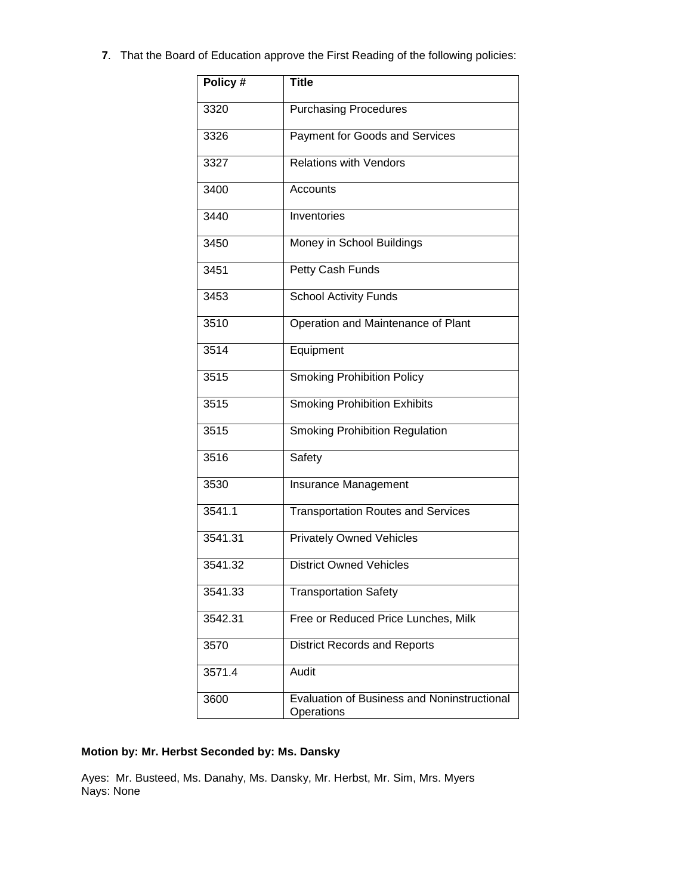**7**. That the Board of Education approve the First Reading of the following policies:

| Policy # | <b>Title</b>                                              |  |  |
|----------|-----------------------------------------------------------|--|--|
| 3320     | <b>Purchasing Procedures</b>                              |  |  |
| 3326     | Payment for Goods and Services                            |  |  |
| 3327     | <b>Relations with Vendors</b>                             |  |  |
| 3400     | Accounts                                                  |  |  |
| 3440     | Inventories                                               |  |  |
| 3450     | Money in School Buildings                                 |  |  |
| 3451     | Petty Cash Funds                                          |  |  |
| 3453     | <b>School Activity Funds</b>                              |  |  |
| 3510     | Operation and Maintenance of Plant                        |  |  |
| 3514     | Equipment                                                 |  |  |
| 3515     | <b>Smoking Prohibition Policy</b>                         |  |  |
| 3515     | <b>Smoking Prohibition Exhibits</b>                       |  |  |
| 3515     | <b>Smoking Prohibition Regulation</b>                     |  |  |
| 3516     | Safety                                                    |  |  |
| 3530     | Insurance Management                                      |  |  |
| 3541.1   | <b>Transportation Routes and Services</b>                 |  |  |
| 3541.31  | <b>Privately Owned Vehicles</b>                           |  |  |
| 3541.32  | <b>District Owned Vehicles</b>                            |  |  |
| 3541.33  | <b>Transportation Safety</b>                              |  |  |
| 3542.31  | Free or Reduced Price Lunches, Milk                       |  |  |
| 3570     | <b>District Records and Reports</b>                       |  |  |
| 3571.4   | Audit                                                     |  |  |
| 3600     | Evaluation of Business and Noninstructional<br>Operations |  |  |

# **Motion by: Mr. Herbst Seconded by: Ms. Dansky**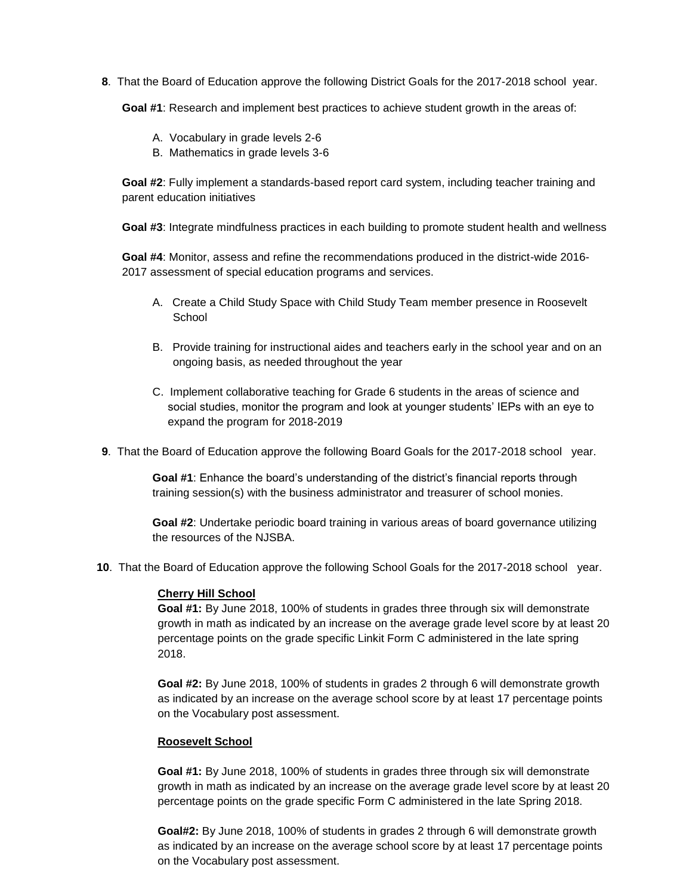**8**. That the Board of Education approve the following District Goals for the 2017-2018 school year.

**Goal #1**: Research and implement best practices to achieve student growth in the areas of:

- A. Vocabulary in grade levels 2-6
- B. Mathematics in grade levels 3-6

**Goal #2**: Fully implement a standards-based report card system, including teacher training and parent education initiatives

**Goal #3**: Integrate mindfulness practices in each building to promote student health and wellness

**Goal #4**: Monitor, assess and refine the recommendations produced in the district-wide 2016- 2017 assessment of special education programs and services.

- A. Create a Child Study Space with Child Study Team member presence in Roosevelt School
- B. Provide training for instructional aides and teachers early in the school year and on an ongoing basis, as needed throughout the year
- C. Implement collaborative teaching for Grade 6 students in the areas of science and social studies, monitor the program and look at younger students' IEPs with an eye to expand the program for 2018-2019
- **9**. That the Board of Education approve the following Board Goals for the 2017-2018 school year.

**Goal #1**: Enhance the board's understanding of the district's financial reports through training session(s) with the business administrator and treasurer of school monies.

**Goal #2**: Undertake periodic board training in various areas of board governance utilizing the resources of the NJSBA.

**10**. That the Board of Education approve the following School Goals for the 2017-2018 school year.

#### **Cherry Hill School**

**Goal #1:** By June 2018, 100% of students in grades three through six will demonstrate growth in math as indicated by an increase on the average grade level score by at least 20 percentage points on the grade specific Linkit Form C administered in the late spring 2018.

**Goal #2:** By June 2018, 100% of students in grades 2 through 6 will demonstrate growth as indicated by an increase on the average school score by at least 17 percentage points on the Vocabulary post assessment.

#### **Roosevelt School**

**Goal #1:** By June 2018, 100% of students in grades three through six will demonstrate growth in math as indicated by an increase on the average grade level score by at least 20 percentage points on the grade specific Form C administered in the late Spring 2018.

**Goal#2:** By June 2018, 100% of students in grades 2 through 6 will demonstrate growth as indicated by an increase on the average school score by at least 17 percentage points on the Vocabulary post assessment.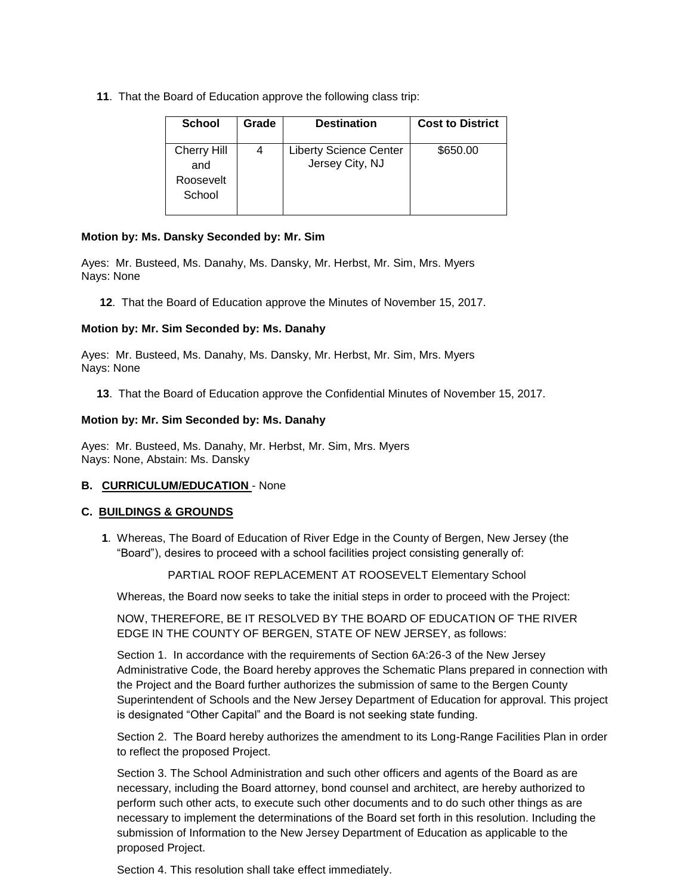**11**. That the Board of Education approve the following class trip:

| <b>School</b>             | Grade | <b>Destination</b>                               | <b>Cost to District</b> |
|---------------------------|-------|--------------------------------------------------|-------------------------|
| <b>Cherry Hill</b><br>and |       | <b>Liberty Science Center</b><br>Jersey City, NJ | \$650.00                |
| Roosevelt<br>School       |       |                                                  |                         |

## **Motion by: Ms. Dansky Seconded by: Mr. Sim**

Ayes: Mr. Busteed, Ms. Danahy, Ms. Dansky, Mr. Herbst, Mr. Sim, Mrs. Myers Nays: None

**12**. That the Board of Education approve the Minutes of November 15, 2017.

## **Motion by: Mr. Sim Seconded by: Ms. Danahy**

Ayes: Mr. Busteed, Ms. Danahy, Ms. Dansky, Mr. Herbst, Mr. Sim, Mrs. Myers Nays: None

**13**. That the Board of Education approve the Confidential Minutes of November 15, 2017.

## **Motion by: Mr. Sim Seconded by: Ms. Danahy**

Ayes: Mr. Busteed, Ms. Danahy, Mr. Herbst, Mr. Sim, Mrs. Myers Nays: None, Abstain: Ms. Dansky

## **B. CURRICULUM/EDUCATION** - None

# **C. BUILDINGS & GROUNDS**

**1**. Whereas, The Board of Education of River Edge in the County of Bergen, New Jersey (the "Board"), desires to proceed with a school facilities project consisting generally of:

# PARTIAL ROOF REPLACEMENT AT ROOSEVELT Elementary School

Whereas, the Board now seeks to take the initial steps in order to proceed with the Project:

NOW, THEREFORE, BE IT RESOLVED BY THE BOARD OF EDUCATION OF THE RIVER EDGE IN THE COUNTY OF BERGEN, STATE OF NEW JERSEY, as follows:

Section 1. In accordance with the requirements of Section 6A:26-3 of the New Jersey Administrative Code, the Board hereby approves the Schematic Plans prepared in connection with the Project and the Board further authorizes the submission of same to the Bergen County Superintendent of Schools and the New Jersey Department of Education for approval. This project is designated "Other Capital" and the Board is not seeking state funding.

Section 2. The Board hereby authorizes the amendment to its Long-Range Facilities Plan in order to reflect the proposed Project.

Section 3. The School Administration and such other officers and agents of the Board as are necessary, including the Board attorney, bond counsel and architect, are hereby authorized to perform such other acts, to execute such other documents and to do such other things as are necessary to implement the determinations of the Board set forth in this resolution. Including the submission of Information to the New Jersey Department of Education as applicable to the proposed Project.

Section 4. This resolution shall take effect immediately.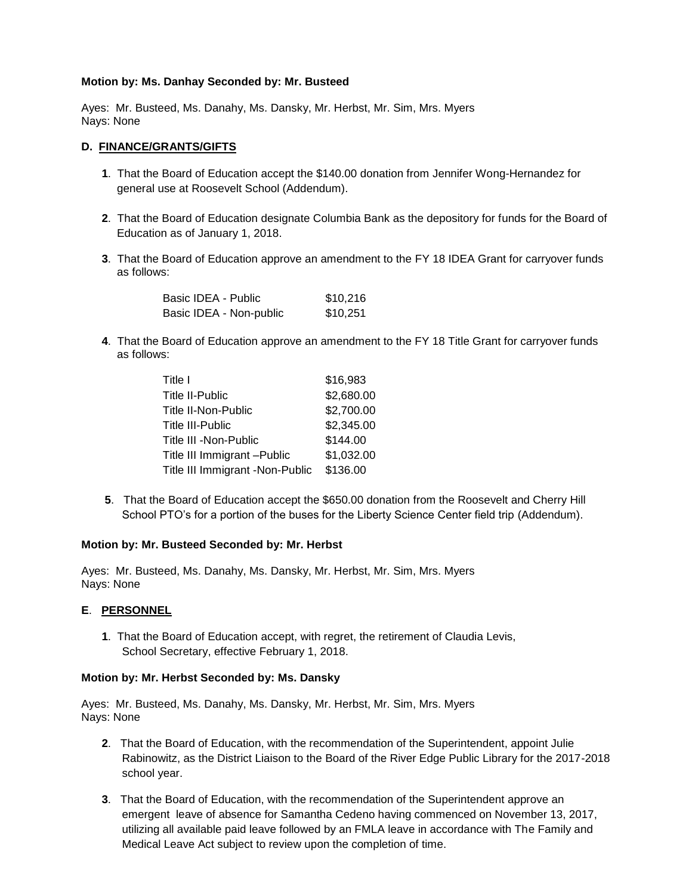## **Motion by: Ms. Danhay Seconded by: Mr. Busteed**

Ayes: Mr. Busteed, Ms. Danahy, Ms. Dansky, Mr. Herbst, Mr. Sim, Mrs. Myers Nays: None

## **D. FINANCE/GRANTS/GIFTS**

- **1**. That the Board of Education accept the \$140.00 donation from Jennifer Wong-Hernandez for general use at Roosevelt School (Addendum).
- **2**. That the Board of Education designate Columbia Bank as the depository for funds for the Board of Education as of January 1, 2018.
- **3**. That the Board of Education approve an amendment to the FY 18 IDEA Grant for carryover funds as follows:

| Basic IDEA - Public     | \$10.216 |
|-------------------------|----------|
| Basic IDEA - Non-public | \$10,251 |

**4**. That the Board of Education approve an amendment to the FY 18 Title Grant for carryover funds as follows:

| Title I                         | \$16,983   |
|---------------------------------|------------|
| <b>Title II-Public</b>          | \$2,680.00 |
| Title II-Non-Public             | \$2,700.00 |
| <b>Title III-Public</b>         | \$2,345.00 |
| Title III - Non-Public          | \$144.00   |
| Title III Immigrant - Public    | \$1,032.00 |
| Title III Immigrant -Non-Public | \$136.00   |

**5**. That the Board of Education accept the \$650.00 donation from the Roosevelt and Cherry Hill School PTO's for a portion of the buses for the Liberty Science Center field trip (Addendum).

## **Motion by: Mr. Busteed Seconded by: Mr. Herbst**

Ayes: Mr. Busteed, Ms. Danahy, Ms. Dansky, Mr. Herbst, Mr. Sim, Mrs. Myers Nays: None

## **E**. **PERSONNEL**

**1**. That the Board of Education accept, with regret, the retirement of Claudia Levis, School Secretary, effective February 1, 2018.

## **Motion by: Mr. Herbst Seconded by: Ms. Dansky**

- **2**. That the Board of Education, with the recommendation of the Superintendent, appoint Julie Rabinowitz, as the District Liaison to the Board of the River Edge Public Library for the 2017-2018 school year.
- **3**. That the Board of Education, with the recommendation of the Superintendent approve an emergent leave of absence for Samantha Cedeno having commenced on November 13, 2017, utilizing all available paid leave followed by an FMLA leave in accordance with The Family and Medical Leave Act subject to review upon the completion of time.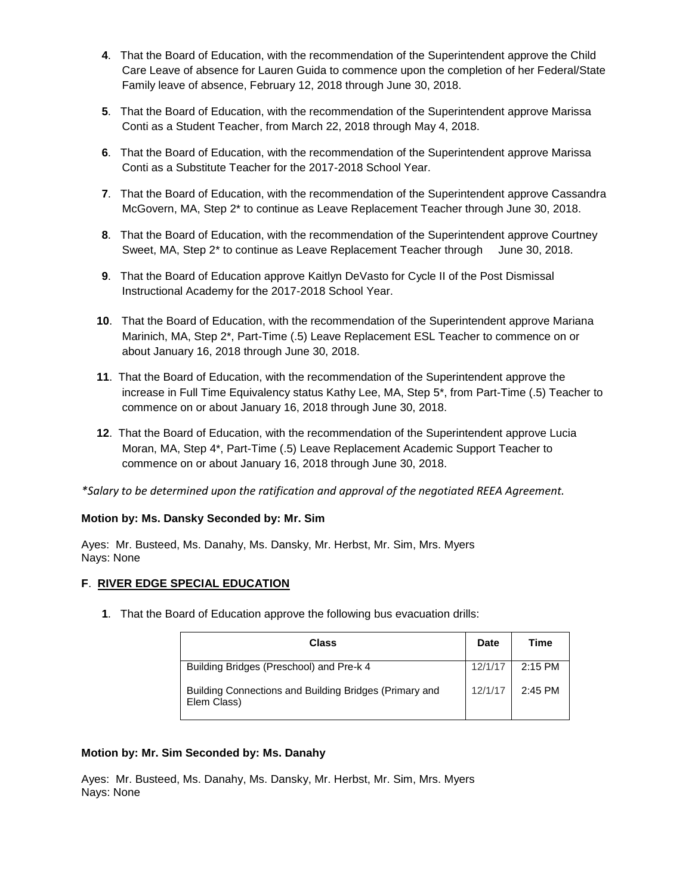- **4**. That the Board of Education, with the recommendation of the Superintendent approve the Child Care Leave of absence for Lauren Guida to commence upon the completion of her Federal/State Family leave of absence, February 12, 2018 through June 30, 2018.
- **5**. That the Board of Education, with the recommendation of the Superintendent approve Marissa Conti as a Student Teacher, from March 22, 2018 through May 4, 2018.
- **6**. That the Board of Education, with the recommendation of the Superintendent approve Marissa Conti as a Substitute Teacher for the 2017-2018 School Year.
- **7**. That the Board of Education, with the recommendation of the Superintendent approve Cassandra McGovern, MA, Step 2\* to continue as Leave Replacement Teacher through June 30, 2018.
- **8**. That the Board of Education, with the recommendation of the Superintendent approve Courtney Sweet, MA, Step 2<sup>\*</sup> to continue as Leave Replacement Teacher through June 30, 2018.
- **9**. That the Board of Education approve Kaitlyn DeVasto for Cycle II of the Post Dismissal Instructional Academy for the 2017-2018 School Year.
- **10**. That the Board of Education, with the recommendation of the Superintendent approve Mariana Marinich, MA, Step 2\*, Part-Time (.5) Leave Replacement ESL Teacher to commence on or about January 16, 2018 through June 30, 2018.
- **11**. That the Board of Education, with the recommendation of the Superintendent approve the increase in Full Time Equivalency status Kathy Lee, MA, Step 5\*, from Part-Time (.5) Teacher to commence on or about January 16, 2018 through June 30, 2018.
- **12**. That the Board of Education, with the recommendation of the Superintendent approve Lucia Moran, MA, Step 4\*, Part-Time (.5) Leave Replacement Academic Support Teacher to commence on or about January 16, 2018 through June 30, 2018.

*\*Salary to be determined upon the ratification and approval of the negotiated REEA Agreement.*

## **Motion by: Ms. Dansky Seconded by: Mr. Sim**

Ayes: Mr. Busteed, Ms. Danahy, Ms. Dansky, Mr. Herbst, Mr. Sim, Mrs. Myers Nays: None

## **F**. **RIVER EDGE SPECIAL EDUCATION**

**1**. That the Board of Education approve the following bus evacuation drills:

| Class                                                                 |         | Time    |
|-----------------------------------------------------------------------|---------|---------|
| Building Bridges (Preschool) and Pre-k 4                              | 12/1/17 | 2:15 PM |
| Building Connections and Building Bridges (Primary and<br>Elem Class) | 12/1/17 | 2:45 PM |

## **Motion by: Mr. Sim Seconded by: Ms. Danahy**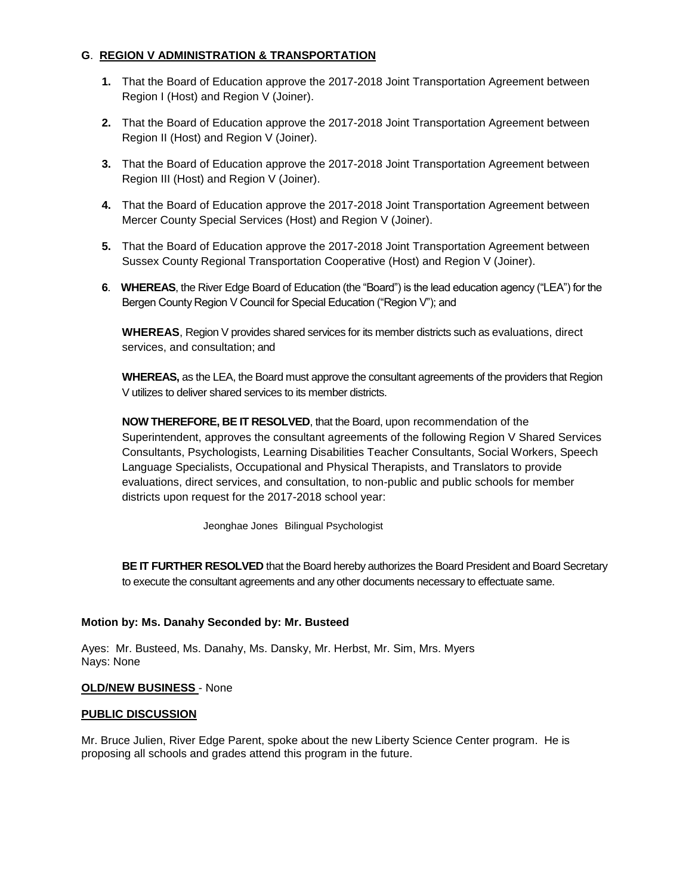# **G**. **REGION V ADMINISTRATION & TRANSPORTATION**

- **1.** That the Board of Education approve the 2017-2018 Joint Transportation Agreement between Region I (Host) and Region V (Joiner).
- **2.** That the Board of Education approve the 2017-2018 Joint Transportation Agreement between Region II (Host) and Region V (Joiner).
- **3.** That the Board of Education approve the 2017-2018 Joint Transportation Agreement between Region III (Host) and Region V (Joiner).
- **4.** That the Board of Education approve the 2017-2018 Joint Transportation Agreement between Mercer County Special Services (Host) and Region V (Joiner).
- **5.** That the Board of Education approve the 2017-2018 Joint Transportation Agreement between Sussex County Regional Transportation Cooperative (Host) and Region V (Joiner).
- **6**. **WHEREAS**, the River Edge Board of Education (the "Board") is the lead education agency ("LEA") for the Bergen County Region V Council for Special Education ("Region V"); and

**WHEREAS**, Region V provides shared services for its member districts such as evaluations, direct services, and consultation; and

**WHEREAS,** as the LEA, the Board must approve the consultant agreements of the providers that Region V utilizes to deliver shared services to its member districts.

**NOW THEREFORE, BE IT RESOLVED**, that the Board, upon recommendation of the Superintendent, approves the consultant agreements of the following Region V Shared Services Consultants, Psychologists, Learning Disabilities Teacher Consultants, Social Workers, Speech Language Specialists, Occupational and Physical Therapists, and Translators to provide evaluations, direct services, and consultation, to non-public and public schools for member districts upon request for the 2017-2018 school year:

Jeonghae Jones Bilingual Psychologist

**BE IT FURTHER RESOLVED** that the Board hereby authorizes the Board President and Board Secretary to execute the consultant agreements and any other documents necessary to effectuate same.

# **Motion by: Ms. Danahy Seconded by: Mr. Busteed**

Ayes: Mr. Busteed, Ms. Danahy, Ms. Dansky, Mr. Herbst, Mr. Sim, Mrs. Myers Nays: None

# **OLD/NEW BUSINESS** - None

# **PUBLIC DISCUSSION**

Mr. Bruce Julien, River Edge Parent, spoke about the new Liberty Science Center program. He is proposing all schools and grades attend this program in the future.